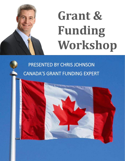# **Grant & Funding Workshop**

# PRESENTED BY CHRIS JOHNSON CANADA'S GRANT FUNDING EXPERT

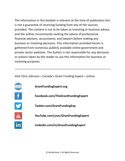The information in this booklet is relevant at the time of publication but is not a guarantee of receiving funding from any of the sources provided. The content is not to be taken as investing or business advice, and the author recommends seeking the advice of professional financial advisors, accountants, and lawyers before making any business or investing decisions. This information provided herein is gathered from numerous publicly available online government and private sector websites. The Author is not responsible for any decisions or actions taken by the reader to use this information for business or investing purposes.

Visit Chris Johnson—Canada's Grant Funding Expert—online:



**GrantFundingExpert.org**



**Facebook.com/TheGrantFundingExpert**



**Twitter.com/GrantFundingExp**



**YouTube.com/user/GrantFundingExpert**

**Linkedin.com/in/GrantFundingExpert**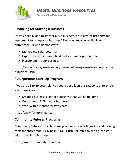

**Useful Business Resources** 

Presented by Chris Johnson

#### **Financing for Starting a Business**

Do you need a loan to start or buy a business, or to pay for property and equipment to set up your business? Financing may be available to entrepreneurs who demonstrate:

- Market and sales potential
- Expertise in your chosen field and your management team
- **·** Investment in your business

https://www.bdc.ca/en/financing/business-loans/pages/financing-startinga-business.aspx

#### **Futurpreneur Start-Up Program**

If you are 18 to 39 years old, you could get a loan of \$15,000 to start or buy a business if you:

- Create a business plan for a business that will be full time
- Own at least 51% of your business
- Work with a mentor for two years

http://www.futurpreneur.ca

#### **Community Futures Programs**

Community Futures' small business programs include financing and training tools for entrepreneurs living in rural British Columbia to get a great start with launching a business.

http://www.communityfutures.ca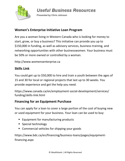

**Useful Business Resources** 

Presented by Chris Johnson

#### **Women's Enterprise Initiative Loan Program**

Are you a woman living in Western Canada who is looking for money to start, grow, or buy a business? This initiative can provide you up to \$150,000 in funding, as well as advisory services, business training, and networking opportunities with other businesswomen. Your business must be 50% or more owned or controlled by a woman.

http://www.womensenterprise.ca

#### **Skills Link**

You could get up to \$50,000 to hire and train a youth between the ages of 15 and 30 for local or regional projects that last up to 30 weeks. You provide experience and get the help you need.

https://www.canada.ca/en/employment-social-development/services/ funding/skills-link.html

#### **Financing for an Equipment Purchase**

You can apply for a loan to cover a large portion of the cost of buying new or used equipment for your business. Your loan can be used to buy:

- Equipment for manufacturing products
- Special technology
- Commercial vehicles for shipping your goods

https://www.bdc.ca/en/financing/business-loans/pages/equipmentfinancing.aspx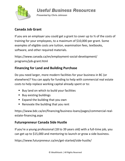

**Useful Business Resources** 

Presented by Chris Johnson

#### **Canada Job Grant**

If you are an employer you could get a grant to cover up to ⅔ of the costs of training for your employees, to a maximum of \$10,000 per grant. Some examples of eligible costs are tuition, examination fees, textbooks, software, and other required materials.

https://www.canada.ca/en/employment-social-development/ programs/job-grant.html

#### **Financing for Land and Building Purchase**

Do you need larger, more modern facilities for your business in BC (or elsewhere)? You can apply for funding to help with commercial real estate costs to help replace working capital already spent or to:

- Buy land on which to build your facilities
- Buy existing buildings
- Expand the building that you own
- Renovate the building that you rent

https://www.bdc.ca/en/financing/business-loans/pages/commercial-realestate-financing.aspx

#### **Futurepreneur Canada Side Hustle**

If you're a young professional (18 to 39 years old) with a full-time job, you can get up to \$15,000 and mentoring to launch or grow a side business.

https://www.futurpreneur.ca/en/get-started/side-hustle/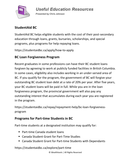

**Useful Education Resources** 

Presented by Chris Johnson

#### **StudentAid BC**

StudentAid BC helps eligible students with the cost of their post-secondary education through loans, grants, bursaries, scholarships, and special programs, plus programs for help repaying loans.

https://studentaidbc.ca/apply/how-to-apply

#### **BC Loan Forgiveness Program**

Recent graduates in some professions can have their BC student loans forgiven by agreeing to work at publicly funded facilities in British Columbia. In some cases, eligibility also includes working in an under-served area of BC. If you qualify for the program, the government of BC will forgive your outstanding BC student loan debt at a rate of 20% per year. After five years, your BC student loans will be paid in full. While you are in the loan forgiveness program, the provincial government will also pay any outstanding interest that accumulates during each year you are registered in the program.

https://studentaidbc.ca/repay/repayment-help/bc-loan-forgivenessprogram

#### **Programs for Part-time Students in BC**

Part-time students at a designated institution may qualify for:

- Part-time Canada student loans
- Canada Student Grant for Part-Time Studies
- Canada Student Grant for Part-time Students with Dependants

https://studentaidbc.ca/explore/part-time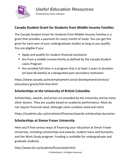

#### **Canada Student Grant for Students from Middle-Income Families**

The Canada Student Grant for Students from Middle-Income Families is a grant that provides a payment for every month of study. You can get this grant for each year of your undergraduate studies as long as you qualify. You are eligible if you:

- Apply and qualify for student financial assistance
- Are from a middle-income family as defined by the Canada Student Loans Program
- Are enrolled full-time in a program that is at least 2 years in duration (at least 60 weeks) at a designated post-secondary institution

https://www.canada.ca/en/employment-social-development/services/ education/ grants/full-time.html

#### **Scholarships at the University of British Columbia**

Scholarships, awards, and prizes are provided by the university and by many other donors. They are usually based on academic performance. Most do not require financial need, although some combine need and merit.

https://students.ubc.ca/enrolment/finances/awards-scholarships-bursaries

#### **Scholarships at Simon Fraser University**

Here you'll find various ways of financing your education at Simon Fraser University, including scholarships and awards, student loans and bursaries, and the Work Study program. Funding is available for undergraduate and graduate students.

http://www.sfu.ca/students/financialaid.html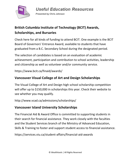

**Useful Education Resources** 

Presented by Chris Johnson

# **British Columbia Institute of Technology (BCIT) Awards, Scholarships, and Bursaries**

Check here for all kinds of funding to attend BCIT. One example is the BCIT Board of Governors' Entrance Award, available to students that have graduated from a B.C. Secondary School during the designated period.

The selection of candidates is based on an evaluation of academic achievement, participation and contribution to school activities, leadership and citizenship as well as volunteer and/or community service.

https://www.bcit.ca/finaid/awards/

#### **Vancouver Visual College of Art and Design Scholarships**

The Visual College of Art and Design high school scholarship competition will offer up to \$150,000 in scholarships this year. Check their website to see whether you may qualify.

http://www.vcad.ca/admissions/scholarships/

#### **Vancouver Island University Scholarships**

The Financial Aid & Award Office is committed to supporting students in their search for financial assistance. They work closely with the faculties and the Student Services branch of the Ministry of Advanced Education, Skills & Training to foster and support student access to financial assistance.

https://services.viu.ca/student-affairs/financial-aid-awards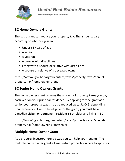

**Presented by Chris Johnson** 

#### **BC Home Owners Grants**

The basic grant can reduce your property tax. The amounts vary according to whether you are:

- Under 65 years of age
- $\blacksquare$  A senior
- A veteran
- A person with disabilities
- Living with a spouse or relative with disabilities
- A spouse or relative of a deceased owner

https://www2.gov.bc.ca/gov/content/taxes/property-taxes/annualproperty-tax/home-owner-grant

#### **BC Senior Home Owners Grants**

The home owner grant reduces the amount of property taxes you pay each year on your principal residence. By applying for the grant as a senior your property taxes may be reduced up to \$1,045, depending upon where you live. To be eligible for the grant, you must be a Canadian citizen or permanent resident 65 or older and living in BC.

https://www2.gov.bc.ca/gov/content/taxes/property-taxes/annualproperty-tax/home-owner-grant/senior

#### **Multiple Home Owner Grant**

As a property investor, here's a way you can help your tenants. The multiple home owner grant allows certain property owners to apply for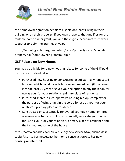

**Presented by Chris Johnson** 

the home owner grant on behalf of eligible occupants living in their building or on their property. If you own property that qualifies for the multiple home owner grant, you and the eligible occupants must work together to claim the grant each year.

https://www2.gov.bc.ca/gov/content/taxes/property-taxes/annualproperty-tax/home-owner-grant/multiple

#### **GST Rebate on New Homes**

You may be eligible for a new housing rebate for some of the GST paid if you are an individual who:

- Purchased new housing or constructed or substantially renovated housing, which could include housing on leased land (if the lease is for at least 20 years or gives you the option to buy the land), for use as your (or your relation's) primary place of residence
- Purchased shares in a co-operative housing (co-op) complex for the purpose of using a unit in the co-op for use as your (or your relation's) primary place of residence
- Constructed or substantially renovated your own home, or hired someone else to construct or substantially renovate your home for use as your (or your relation's) primary place of residence and the fair market value of the house

https://www.canada.ca/en/revenue-agency/services/tax/businesses/ topics/gst-hst-businesses/gst-hst-home-construction/gst-hst-newhousing-rebate.html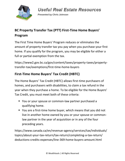

**Presented by Chris Johnson** 

## **BC Property Transfer Tax (PTT) First-Time Home Buyers' Program**

The First Time Home Buyers' Program reduces or eliminates the amount of property transfer tax you pay when you purchase your first home. If you qualify for the program, you may be eligible for either a full or partial exemption from the tax.

https://www2.gov.bc.ca/gov/content/taxes/property-taxes/propertytransfer-tax/exemptions/first-time-home-buyers

### **First-Time Home Buyers' Tax Credit (HBTC)**

The Home Buyers' Tax Credit (HBTC) allows first-time purchasers of homes, and purchasers with disabilities, to claim a tax refund in the year when they purchase a home. To be eligible for the Home Buyers' Tax Credit, you must meet both of these criteria:

- You or your spouse or common-law partner purchased a qualifying home.
- You are a first-time home buyer, which means that you did not live in another home owned by you or your spouse or commonlaw partner in the year of acquisition or in any of the four preceding years.

https://www.canada.ca/en/revenue-agency/services/tax/individuals/ topics/about-your-tax-return/tax-return/completing-a-tax-return/ deductions-credits-expenses/line-369-home-buyers-amount.html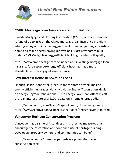

**Presented by Chris Johnson** 

#### **CMHC Mortgage Loan Insurance Premium Refund**

Canada Mortgage and Housing Corporation (CMHC) offers a premium refund of up to 25% on the CMHC mortgage loan insurance premium when you buy or build an energy-efficient home, or you buy an existing home and make energy-saving renovations. Most new homes built under a CMHC-eligible energy-efficient building standard will qualify.

https://www.cmhc-schl.gc.ca/en/finance-and-investing/mortgage-loaninsurance/the-resource/energy-efficient-housing-made-moreaffordable-with-mortgage-loan-insurance

#### **Low-Interest Home Renovation Loans**

Financial institutions offer 'green' loans for home owners making energy efficient upgrades. Vancity's Home Energy™ Loan offers deals on energy upgrade renovations. RBC's Energy Saver loan offers 1% off the loan interest rate or a \$100 rebate on a home energy audit.

https://www.vancity.com/Loans/TypesOfLoans/HomeEnergyLoan/ https://www.rbcroyalbank.com/personal-loans/energy-saver-loan.html

#### **Vancouver Heritage Conservation Program**

Vancouver has a range of incentives and protective measures that encourage the restoration and continued use of heritage buildings. Developers, property owners, and communities can benefit.

https://vancouver.ca/home-property-development/heritageconservation.aspx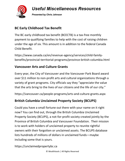

**Useful Miscellaneous Resources** 

Presented by Chris Johnson

#### **BC Early Childhood Tax Benefit**

The BC early childhood tax benefit (BCECTB) is a tax-free monthly payment to qualifying families to help with the cost of raising children under the age of six. This amount is in addition to the federal Canada Child Benefit.

https://www.canada.ca/en/revenue-agency/services/child-familybenefits/provincial-territorial-programs/province-british-columbia.html

#### **Vancouver Arts and Culture Grants**

Every year, the City of Vancouver and the Vancouver Park Board award over \$11 million to non-profit arts and cultural organizations through a variety of grant programs. City officials say they "appreciate the value that the arts bring to the lives of our citizens and the life of our city."

https://vancouver.ca/people-programs/arts-and-culture-grants.aspx

#### **British Columbia Unclaimed Property Society (BCUPS)**

Could you have a small fortune out there with your name on it right now? You can find out, through the British Columbia Unclaimed Property Society (BCUPS), a not-for-profit society created jointly by the Province of British Columbia and Vancouver Foundation. Their mission is to work with holders of unclaimed property to reunite rightful owners with their forgotten or unclaimed assets. The BCUPS database lists hundreds of millions of dollars in unclaimed funds—maybe including some that is yours.

#### https://unclaimedpropertybc.ca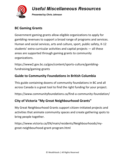

**Useful Miscellaneous Resources** 

Presented by Chris Johnson

#### **BC Gaming Grants**

Government gaming grants allow eligible organizations to apply for gambling revenues to support a broad range of programs and services. Human and social services, arts and culture, sport, public safety, K-12 students' extra-curricular activities and capital projects — all these areas are supported through gaming grants to community organizations.

https://www2.gov.bc.ca/gov/content/sports-culture/gamblingfundraising/gaming-grants

#### **Guide to Community Foundations in British Columbia**

This guide containing dozens of community foundations in BC and all across Canada is a great tool to find the right funding for your project.

https://www.communityfoundations.ca/find-a-community-foundation/

#### **City of Victoria "My Great Neighbourhood Grants"**

My Great Neighbourhood Grants support citizen-initiated projects and activities that animate community spaces and create gathering spots to bring people together.

https://www.victoria.ca/EN/main/residents/Neighbourhoods/mygreat-neighbourhood-grant-program.html